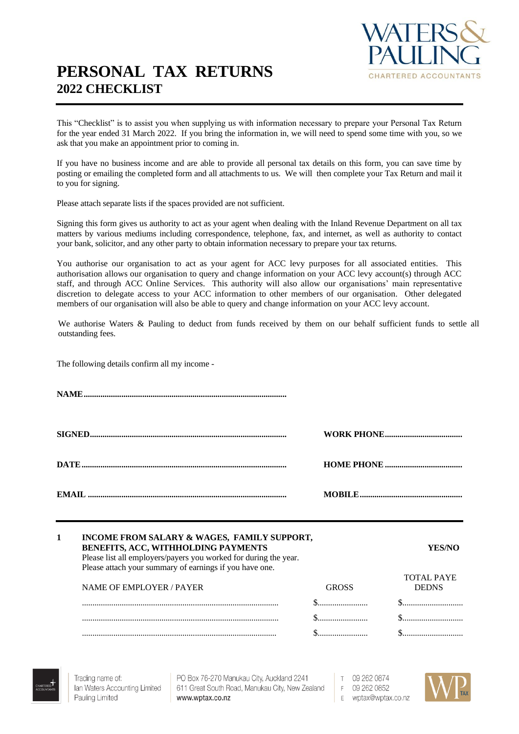# **PERSONAL TAX RETURNS 2022 CHECKLIST**



This "Checklist" is to assist you when supplying us with information necessary to prepare your Personal Tax Return for the year ended 31 March 2022. If you bring the information in, we will need to spend some time with you, so we ask that you make an appointment prior to coming in.

If you have no business income and are able to provide all personal tax details on this form, you can save time by posting or emailing the completed form and all attachments to us. We will then complete your Tax Return and mail it to you for signing.

Please attach separate lists if the spaces provided are not sufficient.

Signing this form gives us authority to act as your agent when dealing with the Inland Revenue Department on all tax matters by various mediums including correspondence, telephone, fax, and internet, as well as authority to contact your bank, solicitor, and any other party to obtain information necessary to prepare your tax returns.

You authorise our organisation to act as your agent for ACC levy purposes for all associated entities. This authorisation allows our organisation to query and change information on your ACC levy account(s) through ACC staff, and through ACC Online Services. This authority will also allow our organisations' main representative discretion to delegate access to your ACC information to other members of our organisation. Other delegated members of our organisation will also be able to query and change information on your ACC levy account.

We authorise Waters & Pauling to deduct from funds received by them on our behalf sufficient funds to settle all outstanding fees.

The following details confirm all my income -

| $\mathbf{1}$ | INCOME FROM SALARY & WAGES, FAMILY SUPPORT,<br>BENEFITS, ACC, WITHHOLDING PAYMENTS<br>Please list all employers/payers you worked for during the year.<br>Please attach your summary of earnings if you have one. |              | <b>YES/NO</b>                     |
|--------------|-------------------------------------------------------------------------------------------------------------------------------------------------------------------------------------------------------------------|--------------|-----------------------------------|
|              | <b>NAME OF EMPLOYER / PAYER</b>                                                                                                                                                                                   | <b>GROSS</b> | <b>TOTAL PAYE</b><br><b>DEDNS</b> |
|              |                                                                                                                                                                                                                   |              |                                   |
|              |                                                                                                                                                                                                                   |              |                                   |
|              |                                                                                                                                                                                                                   |              |                                   |

Trading name of: Ian Waters Accounting Limited Pauling Limited

PO Box 76-270 Manukau City, Auckland 2241 611 Great South Road, Manukau City, New Zealand www.wptax.co.nz

 $\top$ 09 262 0874 F 09 262 0852 E wptax@wptax.co.nz

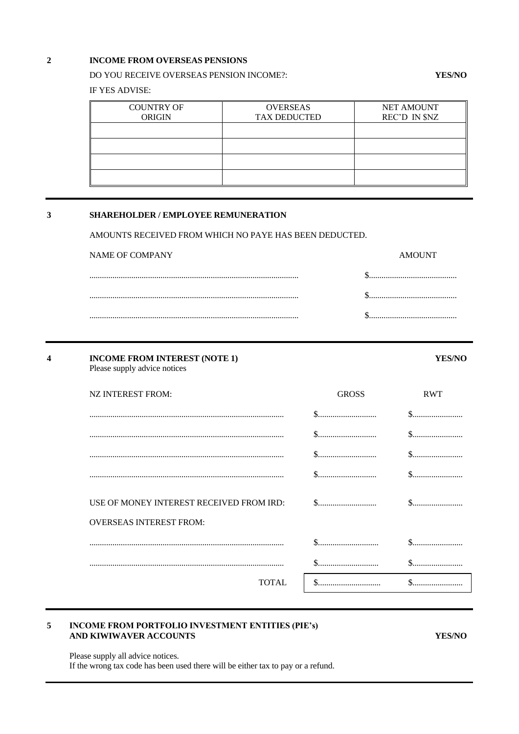#### $\overline{2}$ INCOME FROM OVERSEAS PENSIONS

#### DO YOU RECEIVE OVERSEAS PENSION INCOME?:

IF YES ADVISE:

| <b>COUNTRY OF</b><br><b>ORIGIN</b> | <b>OVERSEAS</b><br><b>TAX DEDUCTED</b> | <b>NET AMOUNT</b><br>REC'D IN \$NZ |
|------------------------------------|----------------------------------------|------------------------------------|
|                                    |                                        |                                    |
|                                    |                                        |                                    |
|                                    |                                        |                                    |
|                                    |                                        |                                    |

#### $\overline{\mathbf{3}}$ SHAREHOLDER / EMPLOYEE REMUNERATION

AMOUNTS RECEIVED FROM WHICH NO PAYE HAS BEEN DEDUCTED.

| NAME OF COMPANY | <b>AMOUNT</b> |
|-----------------|---------------|
|                 |               |
|                 |               |
|                 |               |

| 4 | <b>INCOME FROM INTEREST (NOTE 1)</b><br>Please supply advice notices |              | <b>YES/NO</b> |
|---|----------------------------------------------------------------------|--------------|---------------|
|   | NZ INTEREST FROM:                                                    | <b>GROSS</b> | <b>RWT</b>    |
|   |                                                                      |              |               |
|   |                                                                      |              |               |
|   |                                                                      |              |               |
|   |                                                                      | \$.          |               |
|   | USE OF MONEY INTEREST RECEIVED FROM IRD:                             |              |               |
|   | <b>OVERSEAS INTEREST FROM:</b>                                       |              |               |
|   |                                                                      | \$.          |               |
|   |                                                                      | S.           |               |
|   | <b>TOTAL</b>                                                         | $S_{\cdots}$ | S.            |

#### INCOME FROM PORTFOLIO INVESTMENT ENTITIES (PIE's) 5 AND KIWIWAVER ACCOUNTS

**YES/NO** 

**YES/NO** 

Please supply all advice notices. If the wrong tax code has been used there will be either tax to pay or a refund.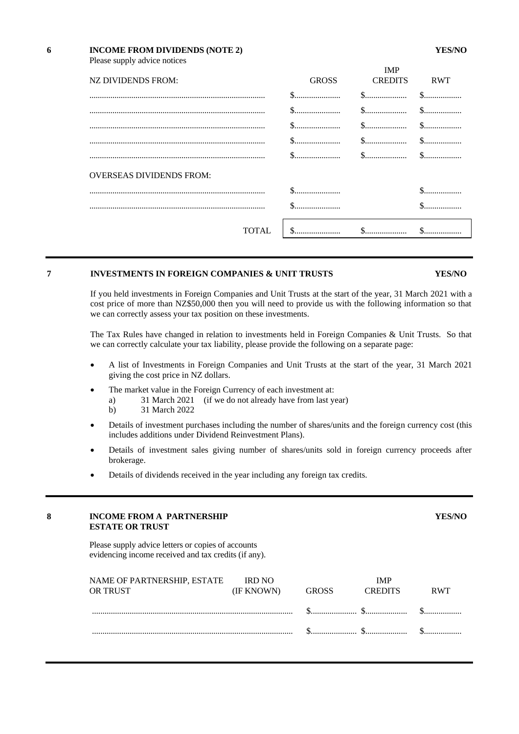## **6 INCOME FROM DIVIDENDS (NOTE 2) YES/NO** Please supply advice notices

|                                 |                                                                                              | IMP            |            |
|---------------------------------|----------------------------------------------------------------------------------------------|----------------|------------|
| NZ DIVIDENDS FROM:              | <b>GROSS</b>                                                                                 | <b>CREDITS</b> | <b>RWT</b> |
|                                 |                                                                                              |                |            |
|                                 |                                                                                              |                |            |
|                                 |                                                                                              |                |            |
|                                 |                                                                                              |                |            |
|                                 | $\$\ldots\ldots\ldots\ldots\ldots\qquad \qquad \$\ldots\ldots\ldots\ldots\ldots\ldots\qquad$ |                |            |
| <b>OVERSEAS DIVIDENDS FROM:</b> |                                                                                              |                |            |
|                                 |                                                                                              |                |            |
|                                 |                                                                                              |                |            |
| <b>TOTAL</b>                    |                                                                                              |                |            |

## **7 INVESTMENTS IN FOREIGN COMPANIES & UNIT TRUSTS YES/NO**

## If you held investments in Foreign Companies and Unit Trusts at the start of the year, 31 March 2021 with a cost price of more than NZ\$50,000 then you will need to provide us with the following information so that we can correctly assess your tax position on these investments.

The Tax Rules have changed in relation to investments held in Foreign Companies & Unit Trusts. So that we can correctly calculate your tax liability, please provide the following on a separate page:

- A list of Investments in Foreign Companies and Unit Trusts at the start of the year, 31 March 2021 giving the cost price in NZ dollars.
- The market value in the Foreign Currency of each investment at:
	- a) 31 March 2021 (if we do not already have from last year)
	- b) 31 March 2022
- Details of investment purchases including the number of shares/units and the foreign currency cost (this includes additions under Dividend Reinvestment Plans).
- Details of investment sales giving number of shares/units sold in foreign currency proceeds after brokerage.
- Details of dividends received in the year including any foreign tax credits.

### **8 INCOME FROM A PARTNERSHIP YES/NO ESTATE OR TRUST**

Please supply advice letters or copies of accounts evidencing income received and tax credits (if any).

| NAME OF PARTNERSHIP, ESTATE IRD NO<br>OR TRUST | (IF KNOWN) | GROSS | IMP<br><b>CREDITS</b> | <b>RWT</b> |
|------------------------------------------------|------------|-------|-----------------------|------------|
|                                                |            |       |                       |            |
|                                                |            |       |                       |            |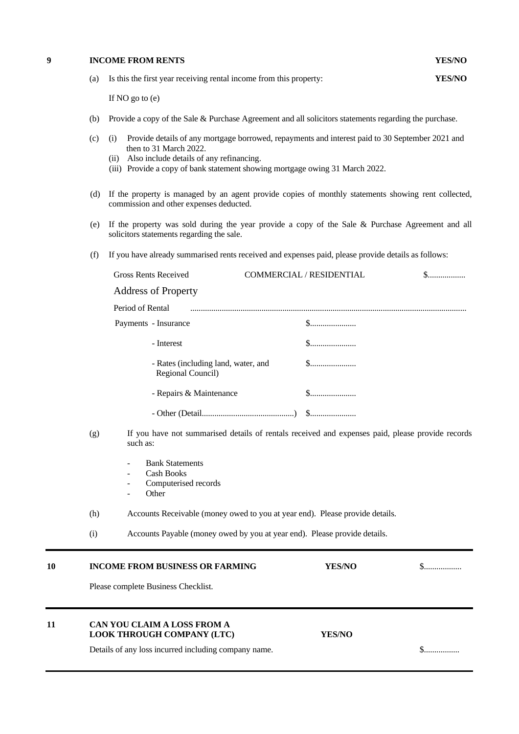#### **9 INCOME FROM RENTS YES/NO**

| (a) Is this the first year receiving rental income from this property: |  | <b>YES/NO</b> |  |
|------------------------------------------------------------------------|--|---------------|--|
|                                                                        |  |               |  |

If NO go to (e)

- (b) Provide a copy of the Sale & Purchase Agreement and all solicitors statements regarding the purchase.
- (c) (i) Provide details of any mortgage borrowed, repayments and interest paid to 30 September 2021 and then to 31 March 2022.
	- (ii) Also include details of any refinancing.
	- (iii) Provide a copy of bank statement showing mortgage owing 31 March 2022.
- (d) If the property is managed by an agent provide copies of monthly statements showing rent collected, commission and other expenses deducted.
- (e) If the property was sold during the year provide a copy of the Sale & Purchase Agreement and all solicitors statements regarding the sale.
- (f) If you have already summarised rents received and expenses paid, please provide details as follows:

| <b>Gross Rents Received</b>                              | <b>COMMERCIAL / RESIDENTIAL</b> | $\mathbb{S}$ |
|----------------------------------------------------------|---------------------------------|--------------|
| <b>Address of Property</b>                               |                                 |              |
| Period of Rental                                         |                                 |              |
| Payments - Insurance                                     | $\mathbb{S}$                    |              |
| - Interest                                               | $\mathbb{S}$                    |              |
| - Rates (including land, water, and<br>Regional Council) |                                 |              |
| - Repairs & Maintenance                                  | $\mathbb{S}$                    |              |
|                                                          |                                 |              |
|                                                          |                                 |              |

- (g) If you have not summarised details of rentals received and expenses paid, please provide records such as:
	- Bank Statements
	- Cash Books
	- Computerised records
	- **Other**
- (h) Accounts Receivable (money owed to you at year end). Please provide details.

| (i) |  | Accounts Payable (money owed by you at year end). Please provide details. |
|-----|--|---------------------------------------------------------------------------|
|     |  |                                                                           |

#### **10 INCOME FROM BUSINESS OR FARMING YES/NO** \$..................

Please complete Business Checklist.

## **11 CAN YOU CLAIM A LOSS FROM A LOOK THROUGH COMPANY (LTC) YES/NO**

Details of any loss incurred including company name. \$.................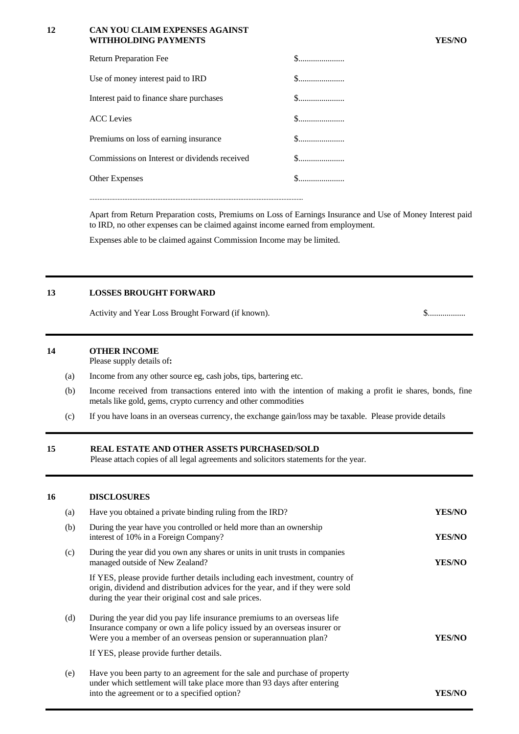#### 12 CAN YOU CLAIM EXPENSES AGAINST WITHHOLDING PAYMENTS

| <b>Return Preparation Fee</b>                 | $\$$         |
|-----------------------------------------------|--------------|
| Use of money interest paid to IRD             | $\$$         |
| Interest paid to finance share purchases      |              |
| <b>ACC</b> Levies                             |              |
| Premiums on loss of earning insurance         |              |
| Commissions on Interest or dividends received |              |
| <b>Other Expenses</b>                         | $\mathbb{S}$ |
|                                               |              |

Apart from Return Preparation costs, Premiums on Loss of Earnings Insurance and Use of Money Interest paid to IRD, no other expenses can be claimed against income earned from employment.

Expenses able to be claimed against Commission Income may be limited.

#### 13 **LOSSES BROUGHT FORWARD**

Activity and Year Loss Brought Forward (if known).

#### $14$ **OTHER INCOME**

Please supply details of:

- $(a)$ Income from any other source eg, cash jobs, tips, bartering etc.
- Income received from transactions entered into with the intention of making a profit ie shares, bonds, fine  $(b)$ metals like gold, gems, crypto currency and other commodities
- If you have loans in an overseas currency, the exchange gain/loss may be taxable. Please provide details  $(c)$

#### 15 REAL ESTATE AND OTHER ASSETS PURCHASED/SOLD

Please attach copies of all legal agreements and solicitors statements for the year.

#### 16 **DISCLOSURES**

| (a) | Have you obtained a private binding ruling from the IRD?                                                                                                                                                                                                          | <b>YES/NO</b> |
|-----|-------------------------------------------------------------------------------------------------------------------------------------------------------------------------------------------------------------------------------------------------------------------|---------------|
| (b) | During the year have you controlled or held more than an ownership<br>interest of 10% in a Foreign Company?                                                                                                                                                       | <b>YES/NO</b> |
| (c) | During the year did you own any shares or units in unit trusts in companies<br>managed outside of New Zealand?                                                                                                                                                    | <b>YES/NO</b> |
|     | If YES, please provide further details including each investment, country of<br>origin, dividend and distribution advices for the year, and if they were sold<br>during the year their original cost and sale prices.                                             |               |
| (d) | During the year did you pay life insurance premiums to an overseas life<br>Insurance company or own a life policy issued by an overseas insurer or<br>Were you a member of an overseas pension or superannuation plan?<br>If YES, please provide further details. | YES/NO        |
| (e) | Have you been party to an agreement for the sale and purchase of property<br>under which settlement will take place more than 93 days after entering<br>into the agreement or to a specified option?                                                              | YES/NO        |